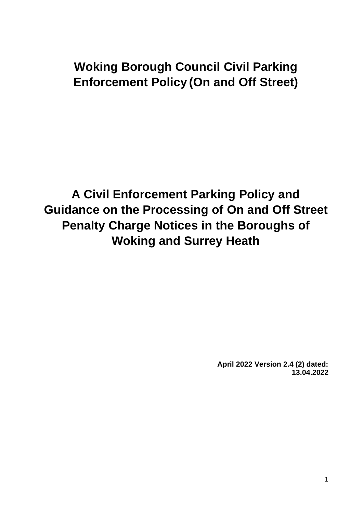# **Woking Borough Council Civil Parking Enforcement Policy (On and Off Street)**

**A Civil Enforcement Parking Policy and Guidance on the Processing of On and Off Street Penalty Charge Notices in the Boroughs of Woking and Surrey Heath**

> **April 2022 Version 2.4 (2) dated: 13.04.2022**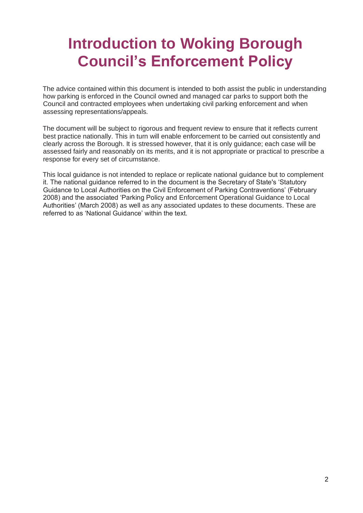# **Introduction to Woking Borough Council's Enforcement Policy**

The advice contained within this document is intended to both assist the public in understanding how parking is enforced in the Council owned and managed car parks to support both the Council and contracted employees when undertaking civil parking enforcement and when assessing representations/appeals.

The document will be subject to rigorous and frequent review to ensure that it reflects current best practice nationally. This in turn will enable enforcement to be carried out consistently and clearly across the Borough. It is stressed however, that it is only guidance; each case will be assessed fairly and reasonably on its merits, and it is not appropriate or practical to prescribe a response for every set of circumstance.

This local guidance is not intended to replace or replicate national guidance but to complement it. The national guidance referred to in the document is the Secretary of State's 'Statutory Guidance to Local Authorities on the Civil Enforcement of Parking Contraventions' (February 2008) and the associated 'Parking Policy and Enforcement Operational Guidance to Local Authorities' (March 2008) as well as any associated updates to these documents. These are referred to as 'National Guidance' within the text.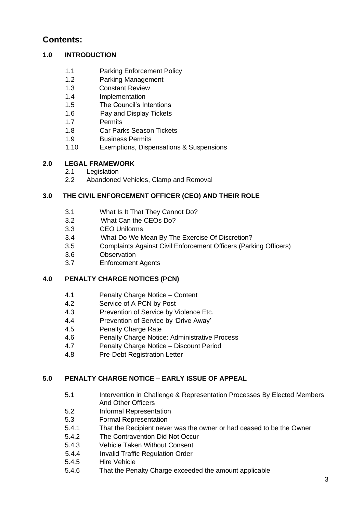## **Contents:**

## **1.0 INTRODUCTION**

- 1.1 Parking Enforcement Policy
- 1.2 Parking Management
- 1.3 Constant Review
- 1.4 Implementation
- 1.5 The Council's Intentions
- 1.6 Pay and Display Tickets
- 1.7 Permits
- 1.8 Car Parks Season Tickets
- 1.9 Business Permits
- 1.10 Exemptions, Dispensations & Suspensions

## **2.0 LEGAL FRAMEWORK**

- 2.1 Legislation
- 2.2 Abandoned Vehicles, Clamp and Removal

## **3.0 THE CIVIL ENFORCEMENT OFFICER (CEO) AND THEIR ROLE**

- 3.1 What Is It That They Cannot Do?
- 3.2 What Can the CEOs Do?
- 3.3 CEO Uniforms
- 3.4 What Do We Mean By The Exercise Of Discretion?
- 3.5 Complaints Against Civil Enforcement Officers (Parking Officers)
- 3.6 Observation
- 3.7 Enforcement Agents

## **4.0 PENALTY CHARGE NOTICES (PCN)**

- 4.1 Penalty Charge Notice Content
- 4.2 Service of A PCN by Post
- 4.3 Prevention of Service by Violence Etc.
- 4.4 Prevention of Service by 'Drive Away'
- 4.5 Penalty Charge Rate
- 4.6 Penalty Charge Notice: Administrative Process
- 4.7 Penalty Charge Notice Discount Period
- 4.8 Pre-Debt Registration Letter

## **5.0 PENALTY CHARGE NOTICE – EARLY ISSUE OF APPEAL**

- 5.1 Intervention in Challenge & Representation Processes By Elected Members And Other Officers
- 5.2 Informal Representation
- 5.3 Formal Representation
- 5.4.1 That the Recipient never was the owner or had ceased to be the Owner
- 5.4.2 The Contravention Did Not Occur
- 5.4.3 Vehicle Taken Without Consent
- 5.4.4 Invalid Traffic Regulation Order
- 5.4.5 Hire Vehicle
- 5.4.6 That the Penalty Charge exceeded the amount applicable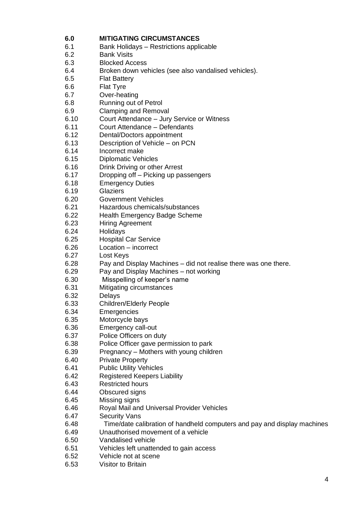## **6.0 MITIGATING CIRCUMSTANCES**

- 6.1 Bank Holidays Restrictions applicable
- 6.2 Bank Visits
- 6.3 Blocked Access
- 6.4 Broken down vehicles (see also vandalised vehicles).
- 6.5 Flat Battery
- 6.6 Flat Tyre
- 6.7 Over-heating
- 6.8 Running out of Petrol
- 6.9 Clamping and Removal
- 6.10 Court Attendance Jury Service or Witness
- 6.11 Court Attendance Defendants
- 6.12 Dental/Doctors appointment
- 6.13 Description of Vehicle on PCN
- 6.14 Incorrect make
- 6.15 Diplomatic Vehicles
- 6.16 Drink Driving or other Arrest
- 6.17 Dropping off Picking up passengers
- 6.18 Emergency Duties
- 6.19 Glaziers
- 6.20 Government Vehicles
- 6.21 Hazardous chemicals/substances
- 6.22 Health Emergency Badge Scheme
- 6.23 Hiring Agreement
- 6.24 Holidays
- 6.25 Hospital Car Service
- 6.26 Location incorrect
- 6.27 Lost Keys
- 6.28 Pay and Display Machines did not realise there was one there.
- 6.29 Pay and Display Machines not working
- 6.30 Misspelling of keeper's name
- 6.31 Mitigating circumstances
- 6.32 Delays
- 6.33 Children/Elderly People
- 6.34 Emergencies
- 6.35 Motorcycle bays
- 6.36 Emergency call-out
- 6.37 Police Officers on duty
- 6.38 Police Officer gave permission to park
- 6.39 Pregnancy Mothers with young children
- 6.40 Private Property
- 6.41 Public Utility Vehicles
- 6.42 Registered Keepers Liability
- 6.43 Restricted hours
- 6.44 Obscured signs
- 6.45 Missing signs
- 6.46 Royal Mail and Universal Provider Vehicles
- 6.47 Security Vans
- 6.48 Time/date calibration of handheld computers and pay and display machines
- 6.49 Unauthorised movement of a vehicle
- 6.50 Vandalised vehicle
- 6.51 Vehicles left unattended to gain access
- 6.52 Vehicle not at scene
- 6.53 Visitor to Britain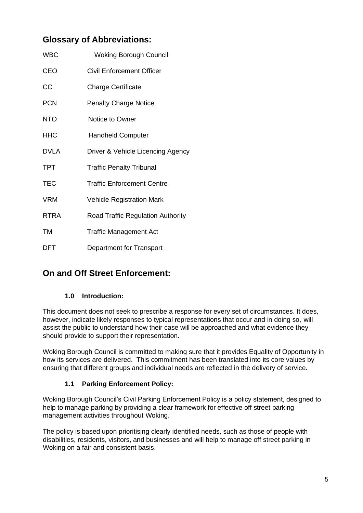# **Glossary of Abbreviations:**

| <b>WBC</b>  | <b>Woking Borough Council</b>            |
|-------------|------------------------------------------|
| <b>CEO</b>  | Civil Enforcement Officer                |
| CC          | <b>Charge Certificate</b>                |
| <b>PCN</b>  | <b>Penalty Charge Notice</b>             |
| <b>NTO</b>  | Notice to Owner                          |
| <b>HHC</b>  | <b>Handheld Computer</b>                 |
| <b>DVLA</b> | Driver & Vehicle Licencing Agency        |
| <b>TPT</b>  | <b>Traffic Penalty Tribunal</b>          |
| <b>TEC</b>  | <b>Traffic Enforcement Centre</b>        |
| <b>VRM</b>  | <b>Vehicle Registration Mark</b>         |
| <b>RTRA</b> | <b>Road Traffic Regulation Authority</b> |
| TM          | <b>Traffic Management Act</b>            |
| DFT         | Department for Transport                 |

## **On and Off Street Enforcement:**

## **1.0 Introduction:**

This document does not seek to prescribe a response for every set of circumstances. It does, however, indicate likely responses to typical representations that occur and in doing so, will assist the public to understand how their case will be approached and what evidence they should provide to support their representation.

Woking Borough Council is committed to making sure that it provides Equality of Opportunity in how its services are delivered. This commitment has been translated into its core values by ensuring that different groups and individual needs are reflected in the delivery of service.

## **1.1 Parking Enforcement Policy:**

Woking Borough Council's Civil Parking Enforcement Policy is a policy statement, designed to help to manage parking by providing a clear framework for effective off street parking management activities throughout Woking.

The policy is based upon prioritising clearly identified needs, such as those of people with disabilities, residents, visitors, and businesses and will help to manage off street parking in Woking on a fair and consistent basis.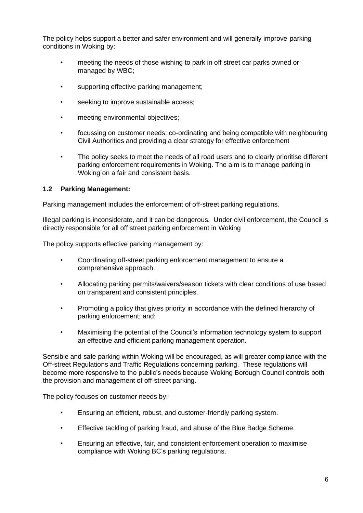The policy helps support a better and safer environment and will generally improve parking conditions in Woking by:

- meeting the needs of those wishing to park in off street car parks owned or managed by WBC;
- supporting effective parking management;
- seeking to improve sustainable access;
- meeting environmental objectives;
- focussing on customer needs; co-ordinating and being compatible with neighbouring Civil Authorities and providing a clear strategy for effective enforcement
- The policy seeks to meet the needs of all road users and to clearly prioritise different parking enforcement requirements in Woking. The aim is to manage parking in Woking on a fair and consistent basis.

## **1.2 Parking Management:**

Parking management includes the enforcement of off-street parking regulations.

Illegal parking is inconsiderate, and it can be dangerous. Under civil enforcement, the Council is directly responsible for all off street parking enforcement in Woking

The policy supports effective parking management by:

- Coordinating off-street parking enforcement management to ensure a comprehensive approach.
- Allocating parking permits/waivers/season tickets with clear conditions of use based on transparent and consistent principles.
- Promoting a policy that gives priority in accordance with the defined hierarchy of parking enforcement; and:
- Maximising the potential of the Council's information technology system to support an effective and efficient parking management operation.

Sensible and safe parking within Woking will be encouraged, as will greater compliance with the Off-street Regulations and Traffic Regulations concerning parking. These regulations will become more responsive to the public's needs because Woking Borough Council controls both the provision and management of off-street parking.

The policy focuses on customer needs by:

- Ensuring an efficient, robust, and customer-friendly parking system.
- Effective tackling of parking fraud, and abuse of the Blue Badge Scheme.
- Ensuring an effective, fair, and consistent enforcement operation to maximise compliance with Woking BC's parking regulations.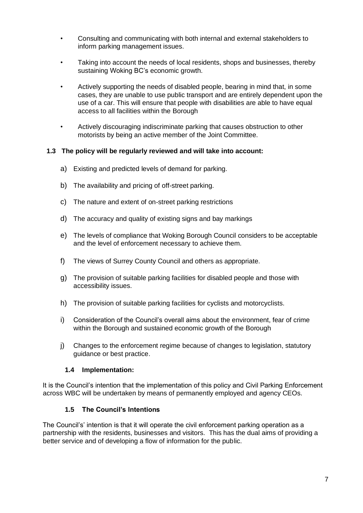- Consulting and communicating with both internal and external stakeholders to inform parking management issues.
- Taking into account the needs of local residents, shops and businesses, thereby sustaining Woking BC's economic growth.
- Actively supporting the needs of disabled people, bearing in mind that, in some cases, they are unable to use public transport and are entirely dependent upon the use of a car. This will ensure that people with disabilities are able to have equal access to all facilities within the Borough
- Actively discouraging indiscriminate parking that causes obstruction to other motorists by being an active member of the Joint Committee.

## **1.3 The policy will be regularly reviewed and will take into account:**

- a) Existing and predicted levels of demand for parking.
- b) The availability and pricing of off-street parking.
- c) The nature and extent of on-street parking restrictions
- d) The accuracy and quality of existing signs and bay markings
- e) The levels of compliance that Woking Borough Council considers to be acceptable and the level of enforcement necessary to achieve them.
- f) The views of Surrey County Council and others as appropriate.
- g) The provision of suitable parking facilities for disabled people and those with accessibility issues.
- h) The provision of suitable parking facilities for cyclists and motorcyclists.
- i) Consideration of the Council's overall aims about the environment, fear of crime within the Borough and sustained economic growth of the Borough
- j) Changes to the enforcement regime because of changes to legislation, statutory guidance or best practice.

#### **1.4 Implementation:**

It is the Council's intention that the implementation of this policy and Civil Parking Enforcement across WBC will be undertaken by means of permanently employed and agency CEOs.

#### **1.5 The Council's Intentions**

The Council's' intention is that it will operate the civil enforcement parking operation as a partnership with the residents, businesses and visitors. This has the dual aims of providing a better service and of developing a flow of information for the public.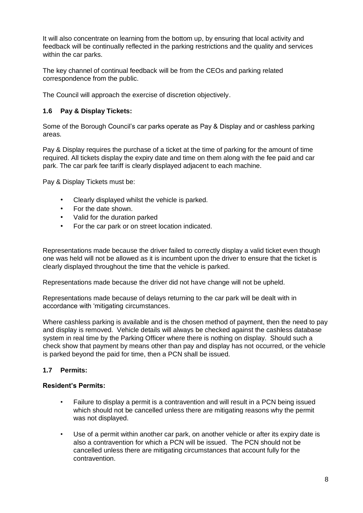It will also concentrate on learning from the bottom up, by ensuring that local activity and feedback will be continually reflected in the parking restrictions and the quality and services within the car parks.

The key channel of continual feedback will be from the CEOs and parking related correspondence from the public.

The Council will approach the exercise of discretion objectively.

## **1.6 Pay & Display Tickets:**

Some of the Borough Council's car parks operate as Pay & Display and or cashless parking areas.

Pay & Display requires the purchase of a ticket at the time of parking for the amount of time required. All tickets display the expiry date and time on them along with the fee paid and car park. The car park fee tariff is clearly displayed adjacent to each machine.

Pay & Display Tickets must be:

- Clearly displayed whilst the vehicle is parked.
- For the date shown.
- Valid for the duration parked
- For the car park or on street location indicated.

Representations made because the driver failed to correctly display a valid ticket even though one was held will not be allowed as it is incumbent upon the driver to ensure that the ticket is clearly displayed throughout the time that the vehicle is parked.

Representations made because the driver did not have change will not be upheld.

Representations made because of delays returning to the car park will be dealt with in accordance with 'mitigating circumstances.

Where cashless parking is available and is the chosen method of payment, then the need to pay and display is removed. Vehicle details will always be checked against the cashless database system in real time by the Parking Officer where there is nothing on display. Should such a check show that payment by means other than pay and display has not occurred, or the vehicle is parked beyond the paid for time, then a PCN shall be issued.

## **1.7 Permits:**

#### **Resident's Permits:**

- Failure to display a permit is a contravention and will result in a PCN being issued which should not be cancelled unless there are mitigating reasons why the permit was not displayed.
- Use of a permit within another car park, on another vehicle or after its expiry date is also a contravention for which a PCN will be issued. The PCN should not be cancelled unless there are mitigating circumstances that account fully for the contravention.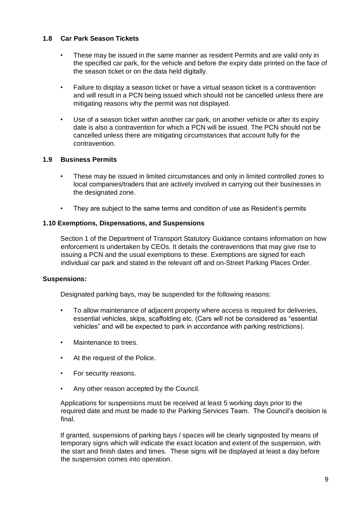## **1.8 Car Park Season Tickets**

- These may be issued in the same manner as resident Permits and are valid only in the specified car park, for the vehicle and before the expiry date printed on the face of the season ticket or on the data held digitally.
- Failure to display a season ticket or have a virtual season ticket is a contravention and will result in a PCN being issued which should not be cancelled unless there are mitigating reasons why the permit was not displayed.
- Use of a season ticket within another car park, on another vehicle or after its expiry date is also a contravention for which a PCN will be issued. The PCN should not be cancelled unless there are mitigating circumstances that account fully for the contravention.

## **1.9 Business Permits**

- These may be issued in limited circumstances and only in limited controlled zones to local companies/traders that are actively involved in carrying out their businesses in the designated zone.
- They are subject to the same terms and condition of use as Resident's permits

#### **1.10 Exemptions, Dispensations, and Suspensions**

Section 1 of the Department of Transport Statutory Guidance contains information on how enforcement is undertaken by CEOs. It details the contraventions that may give rise to issuing a PCN and the usual exemptions to these. Exemptions are signed for each individual car park and stated in the relevant off and on-Street Parking Places Order.

#### **Suspensions:**

Designated parking bays, may be suspended for the following reasons:

- To allow maintenance of adjacent property where access is required for deliveries, essential vehicles, skips, scaffolding etc. (Cars will not be considered as "essential vehicles" and will be expected to park in accordance with parking restrictions).
- Maintenance to trees.
- At the request of the Police.
- For security reasons.
- Any other reason accepted by the Council.

Applications for suspensions must be received at least 5 working days prior to the required date and must be made to the Parking Services Team. The Council's decision is final.

If granted, suspensions of parking bays / spaces will be clearly signposted by means of temporary signs which will indicate the exact location and extent of the suspension, with the start and finish dates and times. These signs will be displayed at least a day before the suspension comes into operation.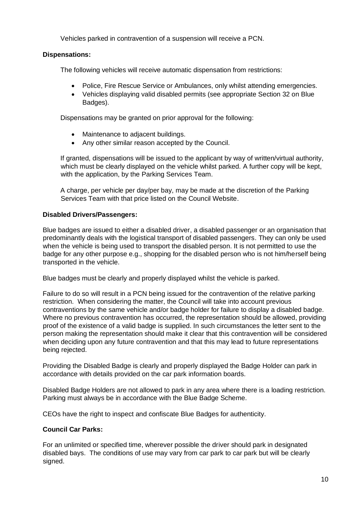Vehicles parked in contravention of a suspension will receive a PCN.

## **Dispensations:**

The following vehicles will receive automatic dispensation from restrictions:

- Police, Fire Rescue Service or Ambulances, only whilst attending emergencies.
- Vehicles displaying valid disabled permits (see appropriate Section 32 on Blue Badges).

Dispensations may be granted on prior approval for the following:

- Maintenance to adjacent buildings.
- Any other similar reason accepted by the Council.

If granted, dispensations will be issued to the applicant by way of written/virtual authority, which must be clearly displayed on the vehicle whilst parked. A further copy will be kept, with the application, by the Parking Services Team.

A charge, per vehicle per day/per bay, may be made at the discretion of the Parking Services Team with that price listed on the Council Website.

## **Disabled Drivers/Passengers:**

Blue badges are issued to either a disabled driver, a disabled passenger or an organisation that predominantly deals with the logistical transport of disabled passengers. They can only be used when the vehicle is being used to transport the disabled person. It is not permitted to use the badge for any other purpose e.g., shopping for the disabled person who is not him/herself being transported in the vehicle.

Blue badges must be clearly and properly displayed whilst the vehicle is parked.

Failure to do so will result in a PCN being issued for the contravention of the relative parking restriction. When considering the matter, the Council will take into account previous contraventions by the same vehicle and/or badge holder for failure to display a disabled badge. Where no previous contravention has occurred, the representation should be allowed, providing proof of the existence of a valid badge is supplied. In such circumstances the letter sent to the person making the representation should make it clear that this contravention will be considered when deciding upon any future contravention and that this may lead to future representations being rejected.

Providing the Disabled Badge is clearly and properly displayed the Badge Holder can park in accordance with details provided on the car park information boards.

Disabled Badge Holders are not allowed to park in any area where there is a loading restriction. Parking must always be in accordance with the Blue Badge Scheme.

CEOs have the right to inspect and confiscate Blue Badges for authenticity.

#### **Council Car Parks:**

For an unlimited or specified time, wherever possible the driver should park in designated disabled bays. The conditions of use may vary from car park to car park but will be clearly signed.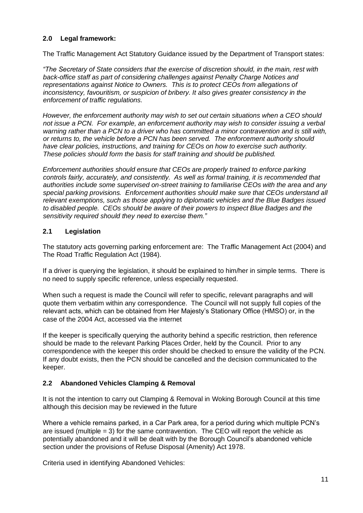## **2.0 Legal framework:**

The Traffic Management Act Statutory Guidance issued by the Department of Transport states:

*"The Secretary of State considers that the exercise of discretion should, in the main, rest with back-office staff as part of considering challenges against Penalty Charge Notices and representations against Notice to Owners. This is to protect CEOs from allegations of inconsistency, favouritism, or suspicion of bribery. It also gives greater consistency in the enforcement of traffic regulations.* 

*However, the enforcement authority may wish to set out certain situations when a CEO should not issue a PCN. For example, an enforcement authority may wish to consider issuing a verbal warning rather than a PCN to a driver who has committed a minor contravention and is still with, or returns to, the vehicle before a PCN has been served. The enforcement authority should have clear policies, instructions, and training for CEOs on how to exercise such authority. These policies should form the basis for staff training and should be published.*

*Enforcement authorities should ensure that CEOs are properly trained to enforce parking controls fairly, accurately, and consistently. As well as formal training, it is recommended that authorities include some supervised on-street training to familiarise CEOs with the area and any special parking provisions. Enforcement authorities should make sure that CEOs understand all relevant exemptions, such as those applying to diplomatic vehicles and the Blue Badges issued to disabled people. CEOs should be aware of their powers to inspect Blue Badges and the sensitivity required should they need to exercise them."*

## **2.1 Legislation**

The statutory acts governing parking enforcement are: The Traffic Management Act (2004) and The Road Traffic Regulation Act (1984).

If a driver is querying the legislation, it should be explained to him/her in simple terms. There is no need to supply specific reference, unless especially requested.

When such a request is made the Council will refer to specific, relevant paragraphs and will quote them verbatim within any correspondence. The Council will not supply full copies of the relevant acts, which can be obtained from Her Majesty's Stationary Office (HMSO) or, in the case of the 2004 Act, accessed via the internet

If the keeper is specifically querying the authority behind a specific restriction, then reference should be made to the relevant Parking Places Order, held by the Council. Prior to any correspondence with the keeper this order should be checked to ensure the validity of the PCN. If any doubt exists, then the PCN should be cancelled and the decision communicated to the keeper.

## **2.2 Abandoned Vehicles Clamping & Removal**

It is not the intention to carry out Clamping & Removal in Woking Borough Council at this time although this decision may be reviewed in the future

Where a vehicle remains parked, in a Car Park area, for a period during which multiple PCN's are issued (multiple = 3) for the same contravention. The CEO will report the vehicle as potentially abandoned and it will be dealt with by the Borough Council's abandoned vehicle section under the provisions of Refuse Disposal (Amenity) Act 1978.

Criteria used in identifying Abandoned Vehicles: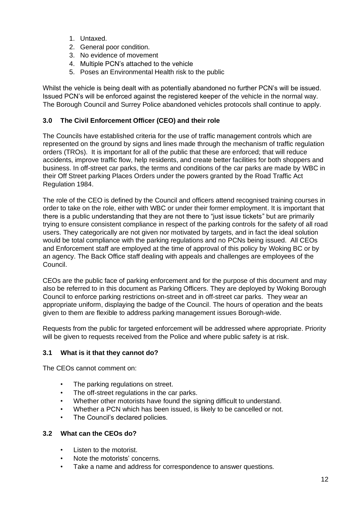- 1. Untaxed.
- 2. General poor condition.
- 3. No evidence of movement
- 4. Multiple PCN's attached to the vehicle
- 5. Poses an Environmental Health risk to the public

Whilst the vehicle is being dealt with as potentially abandoned no further PCN's will be issued. Issued PCN's will be enforced against the registered keeper of the vehicle in the normal way. The Borough Council and Surrey Police abandoned vehicles protocols shall continue to apply.

## **3.0 The Civil Enforcement Officer (CEO) and their role**

The Councils have established criteria for the use of traffic management controls which are represented on the ground by signs and lines made through the mechanism of traffic regulation orders (TROs). It is important for all of the public that these are enforced; that will reduce accidents, improve traffic flow, help residents, and create better facilities for both shoppers and business. In off-street car parks, the terms and conditions of the car parks are made by WBC in their Off Street parking Places Orders under the powers granted by the Road Traffic Act Regulation 1984.

The role of the CEO is defined by the Council and officers attend recognised training courses in order to take on the role, either with WBC or under their former employment. It is important that there is a public understanding that they are not there to "just issue tickets" but are primarily trying to ensure consistent compliance in respect of the parking controls for the safety of all road users. They categorically are not given nor motivated by targets, and in fact the ideal solution would be total compliance with the parking regulations and no PCNs being issued. All CEOs and Enforcement staff are employed at the time of approval of this policy by Woking BC or by an agency. The Back Office staff dealing with appeals and challenges are employees of the Council.

CEOs are the public face of parking enforcement and for the purpose of this document and may also be referred to in this document as Parking Officers. They are deployed by Woking Borough Council to enforce parking restrictions on-street and in off-street car parks. They wear an appropriate uniform, displaying the badge of the Council. The hours of operation and the beats given to them are flexible to address parking management issues Borough-wide.

Requests from the public for targeted enforcement will be addressed where appropriate. Priority will be given to requests received from the Police and where public safety is at risk.

## **3.1 What is it that they cannot do?**

The CEOs cannot comment on:

- The parking regulations on street.
- The off-street regulations in the car parks.
- Whether other motorists have found the signing difficult to understand.
- Whether a PCN which has been issued, is likely to be cancelled or not.
- The Council's declared policies.

#### **3.2 What can the CEOs do?**

- Listen to the motorist.
- Note the motorists' concerns.
- Take a name and address for correspondence to answer questions.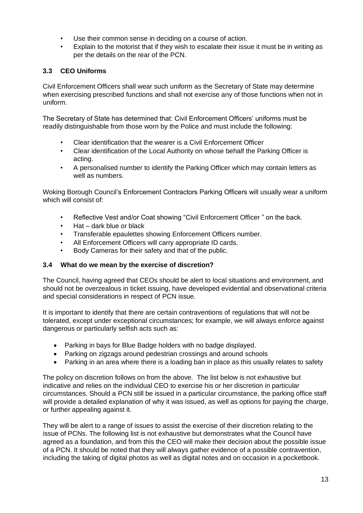- Use their common sense in deciding on a course of action.
- Explain to the motorist that if they wish to escalate their issue it must be in writing as per the details on the rear of the PCN.

## **3.3 CEO Uniforms**

Civil Enforcement Officers shall wear such uniform as the Secretary of State may determine when exercising prescribed functions and shall not exercise any of those functions when not in uniform.

The Secretary of State has determined that: Civil Enforcement Officers' uniforms must be readily distinguishable from those worn by the Police and must include the following:

- Clear identification that the wearer is a Civil Enforcement Officer
- Clear identification of the Local Authority on whose behalf the Parking Officer is acting.
- A personalised number to identify the Parking Officer which may contain letters as well as numbers.

Woking Borough Council's Enforcement Contractors Parking Officers will usually wear a uniform which will consist of:

- Reflective Vest and/or Coat showing "Civil Enforcement Officer " on the back.
- Hat dark blue or black
- Transferable epaulettes showing Enforcement Officers number.
- All Enforcement Officers will carry appropriate ID cards.
- Body Cameras for their safety and that of the public.

## **3.4 What do we mean by the exercise of discretion?**

The Council, having agreed that CEOs should be alert to local situations and environment, and should not be overzealous in ticket issuing, have developed evidential and observational criteria and special considerations in respect of PCN issue.

It is important to identify that there are certain contraventions of regulations that will not be tolerated, except under exceptional circumstances; for example, we will always enforce against dangerous or particularly selfish acts such as:

- Parking in bays for Blue Badge holders with no badge displayed.
- Parking on zigzags around pedestrian crossings and around schools
- Parking in an area where there is a loading ban in place as this usually relates to safety

The policy on discretion follows on from the above. The list below is not exhaustive but indicative and relies on the individual CEO to exercise his or her discretion in particular circumstances. Should a PCN still be issued in a particular circumstance, the parking office staff will provide a detailed explanation of why it was issued, as well as options for paying the charge, or further appealing against it.

They will be alert to a range of issues to assist the exercise of their discretion relating to the issue of PCNs. The following list is not exhaustive but demonstrates what the Council have agreed as a foundation, and from this the CEO will make their decision about the possible issue of a PCN. It should be noted that they will always gather evidence of a possible contravention, including the taking of digital photos as well as digital notes and on occasion in a pocketbook.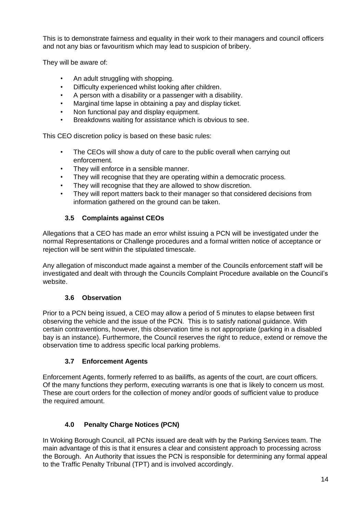This is to demonstrate fairness and equality in their work to their managers and council officers and not any bias or favouritism which may lead to suspicion of bribery.

They will be aware of:

- An adult struggling with shopping.
- Difficulty experienced whilst looking after children.
- A person with a disability or a passenger with a disability.
- Marginal time lapse in obtaining a pay and display ticket.
- Non functional pay and display equipment.
- Breakdowns waiting for assistance which is obvious to see.

This CEO discretion policy is based on these basic rules:

- The CEOs will show a duty of care to the public overall when carrying out enforcement.
- They will enforce in a sensible manner.
- They will recognise that they are operating within a democratic process.
- They will recognise that they are allowed to show discretion.
- They will report matters back to their manager so that considered decisions from information gathered on the ground can be taken.

## **3.5 Complaints against CEOs**

Allegations that a CEO has made an error whilst issuing a PCN will be investigated under the normal Representations or Challenge procedures and a formal written notice of acceptance or rejection will be sent within the stipulated timescale.

Any allegation of misconduct made against a member of the Councils enforcement staff will be investigated and dealt with through the Councils Complaint Procedure available on the Council's website.

## **3.6 Observation**

Prior to a PCN being issued, a CEO may allow a period of 5 minutes to elapse between first observing the vehicle and the issue of the PCN. This is to satisfy national guidance. With certain contraventions, however, this observation time is not appropriate (parking in a disabled bay is an instance). Furthermore, the Council reserves the right to reduce, extend or remove the observation time to address specific local parking problems.

## **3.7 Enforcement Agents**

Enforcement Agents, formerly referred to as bailiffs, as agents of the court, are court officers. Of the many functions they perform, executing warrants is one that is likely to concern us most. These are court orders for the collection of money and/or goods of sufficient value to produce the required amount.

## **4.0 Penalty Charge Notices (PCN)**

In Woking Borough Council, all PCNs issued are dealt with by the Parking Services team. The main advantage of this is that it ensures a clear and consistent approach to processing across the Borough. An Authority that issues the PCN is responsible for determining any formal appeal to the Traffic Penalty Tribunal (TPT) and is involved accordingly.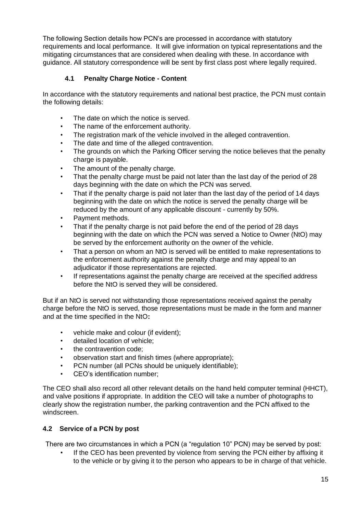The following Section details how PCN's are processed in accordance with statutory requirements and local performance. It will give information on typical representations and the mitigating circumstances that are considered when dealing with these. In accordance with guidance. All statutory correspondence will be sent by first class post where legally required.

## **4.1 Penalty Charge Notice - Content**

In accordance with the statutory requirements and national best practice, the PCN must contain the following details:

- The date on which the notice is served.
- The name of the enforcement authority.
- The registration mark of the vehicle involved in the alleged contravention.
- The date and time of the alleged contravention.
- The grounds on which the Parking Officer serving the notice believes that the penalty charge is payable.
- The amount of the penalty charge.
- That the penalty charge must be paid not later than the last day of the period of 28 days beginning with the date on which the PCN was served.
- That if the penalty charge is paid not later than the last day of the period of 14 days beginning with the date on which the notice is served the penalty charge will be reduced by the amount of any applicable discount - currently by 50%.
- Payment methods.
- That if the penalty charge is not paid before the end of the period of 28 days beginning with the date on which the PCN was served a Notice to Owner (NtO) may be served by the enforcement authority on the owner of the vehicle.
- That a person on whom an NtO is served will be entitled to make representations to the enforcement authority against the penalty charge and may appeal to an adjudicator if those representations are rejected.
- If representations against the penalty charge are received at the specified address before the NtO is served they will be considered.

But if an NtO is served not withstanding those representations received against the penalty charge before the NtO is served, those representations must be made in the form and manner and at the time specified in the NtO**:** 

- vehicle make and colour (if evident);
- detailed location of vehicle:
- the contravention code:
- observation start and finish times (where appropriate);
- PCN number (all PCNs should be uniquely identifiable);
- CEO's identification number;

The CEO shall also record all other relevant details on the hand held computer terminal (HHCT), and valve positions if appropriate. In addition the CEO will take a number of photographs to clearly show the registration number, the parking contravention and the PCN affixed to the windscreen.

## **4.2 Service of a PCN by post**

There are two circumstances in which a PCN (a "regulation 10" PCN) may be served by post:

If the CEO has been prevented by violence from serving the PCN either by affixing it to the vehicle or by giving it to the person who appears to be in charge of that vehicle.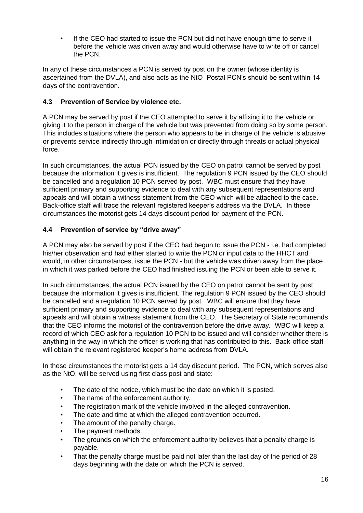• If the CEO had started to issue the PCN but did not have enough time to serve it before the vehicle was driven away and would otherwise have to write off or cancel the PCN.

In any of these circumstances a PCN is served by post on the owner (whose identity is ascertained from the DVLA), and also acts as the NtO Postal PCN's should be sent within 14 days of the contravention.

## **4.3 Prevention of Service by violence etc.**

A PCN may be served by post if the CEO attempted to serve it by affixing it to the vehicle or giving it to the person in charge of the vehicle but was prevented from doing so by some person. This includes situations where the person who appears to be in charge of the vehicle is abusive or prevents service indirectly through intimidation or directly through threats or actual physical force.

In such circumstances, the actual PCN issued by the CEO on patrol cannot be served by post because the information it gives is insufficient. The regulation 9 PCN issued by the CEO should be cancelled and a regulation 10 PCN served by post. WBC must ensure that they have sufficient primary and supporting evidence to deal with any subsequent representations and appeals and will obtain a witness statement from the CEO which will be attached to the case. Back-office staff will trace the relevant registered keeper's address via the DVLA. In these circumstances the motorist gets 14 days discount period for payment of the PCN.

## **4.4 Prevention of service by "drive away"**

A PCN may also be served by post if the CEO had begun to issue the PCN - i.e. had completed his/her observation and had either started to write the PCN or input data to the HHCT and would, in other circumstances, issue the PCN - but the vehicle was driven away from the place in which it was parked before the CEO had finished issuing the PCN or been able to serve it.

In such circumstances, the actual PCN issued by the CEO on patrol cannot be sent by post because the information it gives is insufficient. The regulation 9 PCN issued by the CEO should be cancelled and a regulation 10 PCN served by post. WBC will ensure that they have sufficient primary and supporting evidence to deal with any subsequent representations and appeals and will obtain a witness statement from the CEO. The Secretary of State recommends that the CEO informs the motorist of the contravention before the drive away. WBC will keep a record of which CEO ask for a regulation 10 PCN to be issued and will consider whether there is anything in the way in which the officer is working that has contributed to this. Back-office staff will obtain the relevant registered keeper's home address from DVLA.

In these circumstances the motorist gets a 14 day discount period. The PCN, which serves also as the NtO, will be served using first class post and state:

- The date of the notice, which must be the date on which it is posted.
- The name of the enforcement authority.
- The registration mark of the vehicle involved in the alleged contravention.
- The date and time at which the alleged contravention occurred.
- The amount of the penalty charge.
- The payment methods.
- The grounds on which the enforcement authority believes that a penalty charge is payable.
- That the penalty charge must be paid not later than the last day of the period of 28 days beginning with the date on which the PCN is served.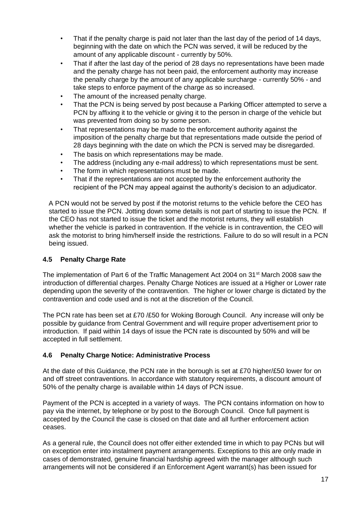- That if the penalty charge is paid not later than the last day of the period of 14 days, beginning with the date on which the PCN was served, it will be reduced by the amount of any applicable discount - currently by 50%.
- That if after the last day of the period of 28 days no representations have been made and the penalty charge has not been paid, the enforcement authority may increase the penalty charge by the amount of any applicable surcharge - currently 50% - and take steps to enforce payment of the charge as so increased.
- The amount of the increased penalty charge.
- That the PCN is being served by post because a Parking Officer attempted to serve a PCN by affixing it to the vehicle or giving it to the person in charge of the vehicle but was prevented from doing so by some person.
- That representations may be made to the enforcement authority against the imposition of the penalty charge but that representations made outside the period of 28 days beginning with the date on which the PCN is served may be disregarded.
- The basis on which representations may be made.
- The address (including any e-mail address) to which representations must be sent.
- The form in which representations must be made.
- That if the representations are not accepted by the enforcement authority the recipient of the PCN may appeal against the authority's decision to an adjudicator.

A PCN would not be served by post if the motorist returns to the vehicle before the CEO has started to issue the PCN. Jotting down some details is not part of starting to issue the PCN. If the CEO has not started to issue the ticket and the motorist returns, they will establish whether the vehicle is parked in contravention. If the vehicle is in contravention, the CEO will ask the motorist to bring him/herself inside the restrictions. Failure to do so will result in a PCN being issued.

## **4.5 Penalty Charge Rate**

The implementation of Part 6 of the Traffic Management Act 2004 on 31<sup>st</sup> March 2008 saw the introduction of differential charges. Penalty Charge Notices are issued at a Higher or Lower rate depending upon the severity of the contravention. The higher or lower charge is dictated by the contravention and code used and is not at the discretion of the Council.

The PCN rate has been set at £70 /£50 for Woking Borough Council. Any increase will only be possible by guidance from Central Government and will require proper advertisement prior to introduction. If paid within 14 days of issue the PCN rate is discounted by 50% and will be accepted in full settlement.

#### **4.6 Penalty Charge Notice: Administrative Process**

At the date of this Guidance, the PCN rate in the borough is set at £70 higher/£50 lower for on and off street contraventions. In accordance with statutory requirements, a discount amount of 50% of the penalty charge is available within 14 days of PCN issue.

Payment of the PCN is accepted in a variety of ways. The PCN contains information on how to pay via the internet, by telephone or by post to the Borough Council. Once full payment is accepted by the Council the case is closed on that date and all further enforcement action ceases.

As a general rule, the Council does not offer either extended time in which to pay PCNs but will on exception enter into instalment payment arrangements. Exceptions to this are only made in cases of demonstrated, genuine financial hardship agreed with the manager although such arrangements will not be considered if an Enforcement Agent warrant(s) has been issued for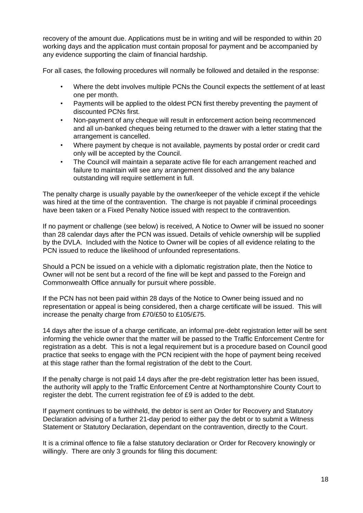recovery of the amount due. Applications must be in writing and will be responded to within 20 working days and the application must contain proposal for payment and be accompanied by any evidence supporting the claim of financial hardship.

For all cases, the following procedures will normally be followed and detailed in the response:

- Where the debt involves multiple PCNs the Council expects the settlement of at least one per month.
- Payments will be applied to the oldest PCN first thereby preventing the payment of discounted PCNs first.
- Non-payment of any cheque will result in enforcement action being recommenced and all un-banked cheques being returned to the drawer with a letter stating that the arrangement is cancelled.
- Where payment by cheque is not available, payments by postal order or credit card only will be accepted by the Council.
- The Council will maintain a separate active file for each arrangement reached and failure to maintain will see any arrangement dissolved and the any balance outstanding will require settlement in full.

The penalty charge is usually payable by the owner/keeper of the vehicle except if the vehicle was hired at the time of the contravention. The charge is not payable if criminal proceedings have been taken or a Fixed Penalty Notice issued with respect to the contravention.

If no payment or challenge (see below) is received, A Notice to Owner will be issued no sooner than 28 calendar days after the PCN was issued. Details of vehicle ownership will be supplied by the DVLA. Included with the Notice to Owner will be copies of all evidence relating to the PCN issued to reduce the likelihood of unfounded representations.

Should a PCN be issued on a vehicle with a diplomatic registration plate, then the Notice to Owner will not be sent but a record of the fine will be kept and passed to the Foreign and Commonwealth Office annually for pursuit where possible.

If the PCN has not been paid within 28 days of the Notice to Owner being issued and no representation or appeal is being considered, then a charge certificate will be issued. This will increase the penalty charge from £70/£50 to £105/£75.

14 days after the issue of a charge certificate, an informal pre-debt registration letter will be sent informing the vehicle owner that the matter will be passed to the Traffic Enforcement Centre for registration as a debt. This is not a legal requirement but is a procedure based on Council good practice that seeks to engage with the PCN recipient with the hope of payment being received at this stage rather than the formal registration of the debt to the Court.

If the penalty charge is not paid 14 days after the pre-debt registration letter has been issued, the authority will apply to the Traffic Enforcement Centre at Northamptonshire County Court to register the debt. The current registration fee of £9 is added to the debt.

If payment continues to be withheld, the debtor is sent an Order for Recovery and Statutory Declaration advising of a further 21-day period to either pay the debt or to submit a Witness Statement or Statutory Declaration, dependant on the contravention, directly to the Court.

It is a criminal offence to file a false statutory declaration or Order for Recovery knowingly or willingly. There are only 3 grounds for filing this document: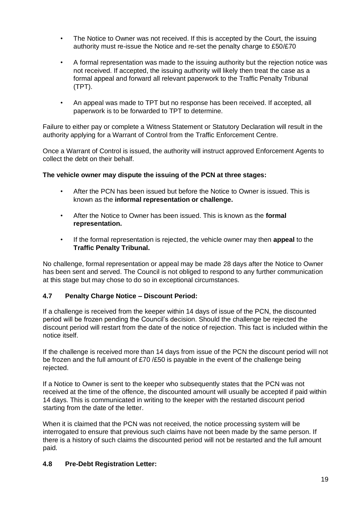- The Notice to Owner was not received. If this is accepted by the Court, the issuing authority must re-issue the Notice and re-set the penalty charge to £50/£70
- A formal representation was made to the issuing authority but the rejection notice was not received. If accepted, the issuing authority will likely then treat the case as a formal appeal and forward all relevant paperwork to the Traffic Penalty Tribunal (TPT).
- An appeal was made to TPT but no response has been received. If accepted, all paperwork is to be forwarded to TPT to determine.

Failure to either pay or complete a Witness Statement or Statutory Declaration will result in the authority applying for a Warrant of Control from the Traffic Enforcement Centre.

Once a Warrant of Control is issued, the authority will instruct approved Enforcement Agents to collect the debt on their behalf.

## **The vehicle owner may dispute the issuing of the PCN at three stages:**

- After the PCN has been issued but before the Notice to Owner is issued. This is known as the **informal representation or challenge.**
- After the Notice to Owner has been issued. This is known as the **formal representation.**
- If the formal representation is rejected, the vehicle owner may then **appeal** to the **Traffic Penalty Tribunal.**

No challenge, formal representation or appeal may be made 28 days after the Notice to Owner has been sent and served. The Council is not obliged to respond to any further communication at this stage but may chose to do so in exceptional circumstances.

## **4.7 Penalty Charge Notice – Discount Period:**

If a challenge is received from the keeper within 14 days of issue of the PCN, the discounted period will be frozen pending the Council's decision. Should the challenge be rejected the discount period will restart from the date of the notice of rejection. This fact is included within the notice itself.

If the challenge is received more than 14 days from issue of the PCN the discount period will not be frozen and the full amount of £70 /£50 is payable in the event of the challenge being rejected.

If a Notice to Owner is sent to the keeper who subsequently states that the PCN was not received at the time of the offence, the discounted amount will usually be accepted if paid within 14 days. This is communicated in writing to the keeper with the restarted discount period starting from the date of the letter.

When it is claimed that the PCN was not received, the notice processing system will be interrogated to ensure that previous such claims have not been made by the same person. If there is a history of such claims the discounted period will not be restarted and the full amount paid.

## **4.8 Pre-Debt Registration Letter:**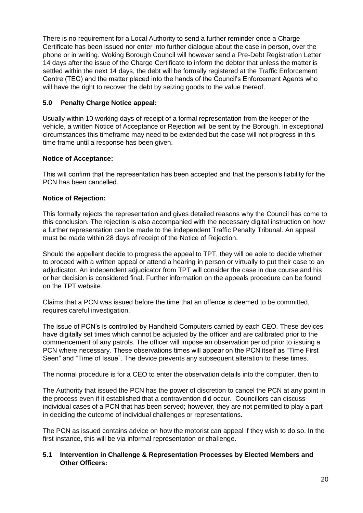There is no requirement for a Local Authority to send a further reminder once a Charge Certificate has been issued nor enter into further dialogue about the case in person, over the phone or in writing. Woking Borough Council will however send a Pre-Debt Registration Letter 14 days after the issue of the Charge Certificate to inform the debtor that unless the matter is settled within the next 14 days, the debt will be formally registered at the Traffic Enforcement Centre (TEC) and the matter placed into the hands of the Council's Enforcement Agents who will have the right to recover the debt by seizing goods to the value thereof.

## **5.0 Penalty Charge Notice appeal:**

Usually within 10 working days of receipt of a formal representation from the keeper of the vehicle, a written Notice of Acceptance or Rejection will be sent by the Borough. In exceptional circumstances this timeframe may need to be extended but the case will not progress in this time frame until a response has been given.

## **Notice of Acceptance:**

This will confirm that the representation has been accepted and that the person's liability for the PCN has been cancelled.

## **Notice of Rejection:**

This formally rejects the representation and gives detailed reasons why the Council has come to this conclusion. The rejection is also accompanied with the necessary digital instruction on how a further representation can be made to the independent Traffic Penalty Tribunal. An appeal must be made within 28 days of receipt of the Notice of Rejection.

Should the appellant decide to progress the appeal to TPT, they will be able to decide whether to proceed with a written appeal or attend a hearing in person or virtually to put their case to an adjudicator. An independent adjudicator from TPT will consider the case in due course and his or her decision is considered final. Further information on the appeals procedure can be found on the TPT website.

Claims that a PCN was issued before the time that an offence is deemed to be committed, requires careful investigation.

The issue of PCN's is controlled by Handheld Computers carried by each CEO. These devices have digitally set times which cannot be adjusted by the officer and are calibrated prior to the commencement of any patrols. The officer will impose an observation period prior to issuing a PCN where necessary. These observations times will appear on the PCN itself as "Time First Seen" and "Time of Issue". The device prevents any subsequent alteration to these times.

The normal procedure is for a CEO to enter the observation details into the computer, then to

The Authority that issued the PCN has the power of discretion to cancel the PCN at any point in the process even if it established that a contravention did occur. Councillors can discuss individual cases of a PCN that has been served; however, they are not permitted to play a part in deciding the outcome of individual challenges or representations.

The PCN as issued contains advice on how the motorist can appeal if they wish to do so. In the first instance, this will be via informal representation or challenge.

## **5.1 Intervention in Challenge & Representation Processes by Elected Members and Other Officers:**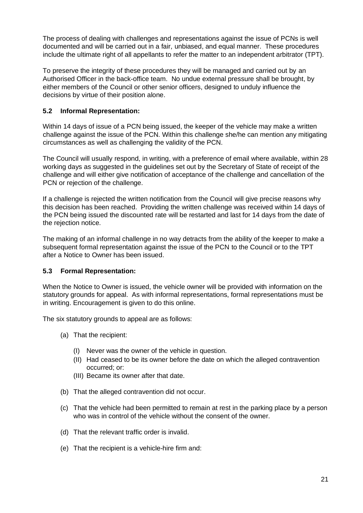The process of dealing with challenges and representations against the issue of PCNs is well documented and will be carried out in a fair, unbiased, and equal manner. These procedures include the ultimate right of all appellants to refer the matter to an independent arbitrator (TPT).

To preserve the integrity of these procedures they will be managed and carried out by an Authorised Officer in the back-office team. No undue external pressure shall be brought, by either members of the Council or other senior officers, designed to unduly influence the decisions by virtue of their position alone.

## **5.2 Informal Representation:**

Within 14 days of issue of a PCN being issued, the keeper of the vehicle may make a written challenge against the issue of the PCN. Within this challenge she/he can mention any mitigating circumstances as well as challenging the validity of the PCN.

The Council will usually respond, in writing, with a preference of email where available, within 28 working days as suggested in the guidelines set out by the Secretary of State of receipt of the challenge and will either give notification of acceptance of the challenge and cancellation of the PCN or rejection of the challenge.

If a challenge is rejected the written notification from the Council will give precise reasons why this decision has been reached. Providing the written challenge was received within 14 days of the PCN being issued the discounted rate will be restarted and last for 14 days from the date of the rejection notice.

The making of an informal challenge in no way detracts from the ability of the keeper to make a subsequent formal representation against the issue of the PCN to the Council or to the TPT after a Notice to Owner has been issued.

## **5.3 Formal Representation:**

When the Notice to Owner is issued, the vehicle owner will be provided with information on the statutory grounds for appeal. As with informal representations, formal representations must be in writing. Encouragement is given to do this online.

The six statutory grounds to appeal are as follows:

- (a) That the recipient:
	- (I) Never was the owner of the vehicle in question.
	- (II) Had ceased to be its owner before the date on which the alleged contravention occurred; or:
	- (III) Became its owner after that date.
- (b) That the alleged contravention did not occur.
- (c) That the vehicle had been permitted to remain at rest in the parking place by a person who was in control of the vehicle without the consent of the owner.
- (d) That the relevant traffic order is invalid.
- (e) That the recipient is a vehicle-hire firm and: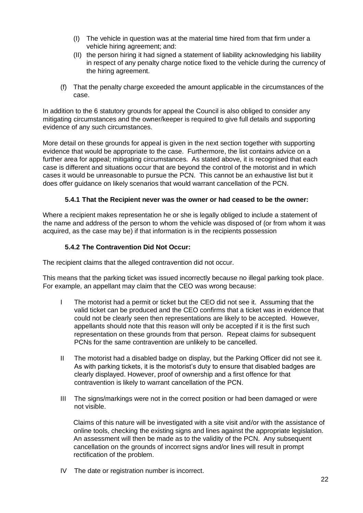- (I) The vehicle in question was at the material time hired from that firm under a vehicle hiring agreement; and:
- (II) the person hiring it had signed a statement of liability acknowledging his liability in respect of any penalty charge notice fixed to the vehicle during the currency of the hiring agreement.
- (f) That the penalty charge exceeded the amount applicable in the circumstances of the case.

In addition to the 6 statutory grounds for appeal the Council is also obliged to consider any mitigating circumstances and the owner/keeper is required to give full details and supporting evidence of any such circumstances.

More detail on these grounds for appeal is given in the next section together with supporting evidence that would be appropriate to the case. Furthermore, the list contains advice on a further area for appeal; mitigating circumstances. As stated above, it is recognised that each case is different and situations occur that are beyond the control of the motorist and in which cases it would be unreasonable to pursue the PCN. This cannot be an exhaustive list but it does offer guidance on likely scenarios that would warrant cancellation of the PCN.

## **5.4.1 That the Recipient never was the owner or had ceased to be the owner:**

Where a recipient makes representation he or she is legally obliged to include a statement of the name and address of the person to whom the vehicle was disposed of (or from whom it was acquired, as the case may be) if that information is in the recipients possession

## **5.4.2 The Contravention Did Not Occur:**

The recipient claims that the alleged contravention did not occur.

This means that the parking ticket was issued incorrectly because no illegal parking took place. For example, an appellant may claim that the CEO was wrong because:

- I The motorist had a permit or ticket but the CEO did not see it. Assuming that the valid ticket can be produced and the CEO confirms that a ticket was in evidence that could not be clearly seen then representations are likely to be accepted. However, appellants should note that this reason will only be accepted if it is the first such representation on these grounds from that person. Repeat claims for subsequent PCNs for the same contravention are unlikely to be cancelled.
- II The motorist had a disabled badge on display, but the Parking Officer did not see it. As with parking tickets, it is the motorist's duty to ensure that disabled badges are clearly displayed. However, proof of ownership and a first offence for that contravention is likely to warrant cancellation of the PCN.
- III The signs/markings were not in the correct position or had been damaged or were not visible.

Claims of this nature will be investigated with a site visit and/or with the assistance of online tools, checking the existing signs and lines against the appropriate legislation. An assessment will then be made as to the validity of the PCN. Any subsequent cancellation on the grounds of incorrect signs and/or lines will result in prompt rectification of the problem.

IV The date or registration number is incorrect.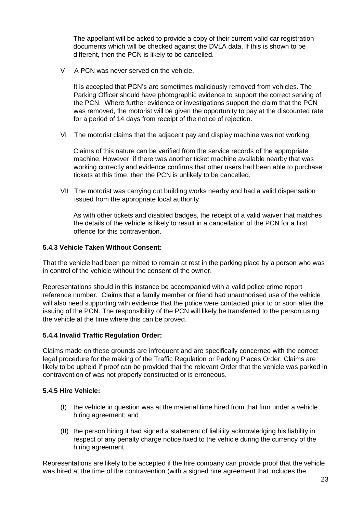The appellant will be asked to provide a copy of their current valid car registration documents which will be checked against the DVLA data. If this is shown to be different, then the PCN is likely to be cancelled.

V A PCN was never served on the vehicle.

It is accepted that PCN's are sometimes maliciously removed from vehicles. The Parking Officer should have photographic evidence to support the correct serving of the PCN. Where further evidence or investigations support the claim that the PCN was removed, the motorist will be given the opportunity to pay at the discounted rate for a period of 14 days from receipt of the notice of rejection.

VI The motorist claims that the adjacent pay and display machine was not working.

Claims of this nature can be verified from the service records of the appropriate machine. However, if there was another ticket machine available nearby that was working correctly and evidence confirms that other users had been able to purchase tickets at this time, then the PCN is unlikely to be cancelled.

VII The motorist was carrying out building works nearby and had a valid dispensation issued from the appropriate local authority.

As with other tickets and disabled badges, the receipt of a valid waiver that matches the details of the vehicle is likely to result in a cancellation of the PCN for a first offence for this contravention.

## **5.4.3 Vehicle Taken Without Consent:**

That the vehicle had been permitted to remain at rest in the parking place by a person who was in control of the vehicle without the consent of the owner.

Representations should in this instance be accompanied with a valid police crime report reference number. Claims that a family member or friend had unauthorised use of the vehicle will also need supporting with evidence that the police were contacted prior to or soon after the issuing of the PCN. The responsibility of the PCN will likely be transferred to the person using the vehicle at the time where this can be proved.

## **5.4.4 Invalid Traffic Regulation Order:**

Claims made on these grounds are infrequent and are specifically concerned with the correct legal procedure for the making of the Traffic Regulation or Parking Places Order. Claims are likely to be upheld if proof can be provided that the relevant Order that the vehicle was parked in contravention of was not properly constructed or is erroneous.

#### **5.4.5 Hire Vehicle:**

- (I) the vehicle in question was at the material time hired from that firm under a vehicle hiring agreement; and
- (II) the person hiring it had signed a statement of liability acknowledging his liability in respect of any penalty charge notice fixed to the vehicle during the currency of the hiring agreement.

Representations are likely to be accepted if the hire company can provide proof that the vehicle was hired at the time of the contravention (with a signed hire agreement that includes the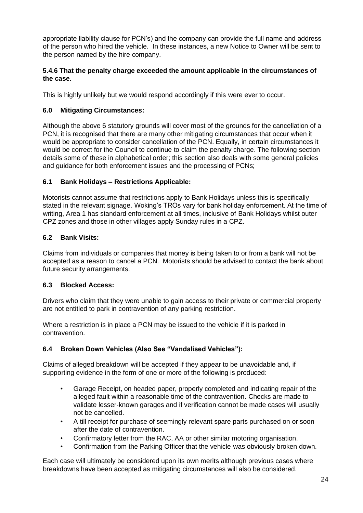appropriate liability clause for PCN's) and the company can provide the full name and address of the person who hired the vehicle. In these instances, a new Notice to Owner will be sent to the person named by the hire company.

## **5.4.6 That the penalty charge exceeded the amount applicable in the circumstances of the case.**

This is highly unlikely but we would respond accordingly if this were ever to occur.

## **6.0 Mitigating Circumstances:**

Although the above 6 statutory grounds will cover most of the grounds for the cancellation of a PCN, it is recognised that there are many other mitigating circumstances that occur when it would be appropriate to consider cancellation of the PCN. Equally, in certain circumstances it would be correct for the Council to continue to claim the penalty charge. The following section details some of these in alphabetical order; this section also deals with some general policies and guidance for both enforcement issues and the processing of PCNs;

## **6.1 Bank Holidays – Restrictions Applicable:**

Motorists cannot assume that restrictions apply to Bank Holidays unless this is specifically stated in the relevant signage. Woking's TROs vary for bank holiday enforcement. At the time of writing, Area 1 has standard enforcement at all times, inclusive of Bank Holidays whilst outer CPZ zones and those in other villages apply Sunday rules in a CPZ.

## **6.2 Bank Visits:**

Claims from individuals or companies that money is being taken to or from a bank will not be accepted as a reason to cancel a PCN. Motorists should be advised to contact the bank about future security arrangements.

## **6.3 Blocked Access:**

Drivers who claim that they were unable to gain access to their private or commercial property are not entitled to park in contravention of any parking restriction.

Where a restriction is in place a PCN may be issued to the vehicle if it is parked in contravention.

## **6.4 Broken Down Vehicles (Also See "Vandalised Vehicles"):**

Claims of alleged breakdown will be accepted if they appear to be unavoidable and, if supporting evidence in the form of one or more of the following is produced:

- Garage Receipt, on headed paper, properly completed and indicating repair of the alleged fault within a reasonable time of the contravention. Checks are made to validate lesser-known garages and if verification cannot be made cases will usually not be cancelled.
- A till receipt for purchase of seemingly relevant spare parts purchased on or soon after the date of contravention.
- Confirmatory letter from the RAC, AA or other similar motoring organisation.
- Confirmation from the Parking Officer that the vehicle was obviously broken down.

Each case will ultimately be considered upon its own merits although previous cases where breakdowns have been accepted as mitigating circumstances will also be considered.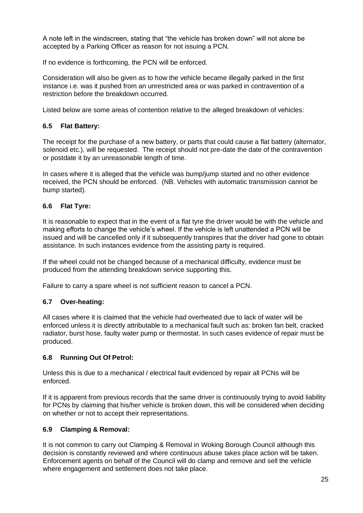A note left in the windscreen, stating that "the vehicle has broken down" will not alone be accepted by a Parking Officer as reason for not issuing a PCN.

If no evidence is forthcoming, the PCN will be enforced.

Consideration will also be given as to how the vehicle became illegally parked in the first instance i.e. was it pushed from an unrestricted area or was parked in contravention of a restriction before the breakdown occurred.

Listed below are some areas of contention relative to the alleged breakdown of vehicles:

## **6.5 Flat Battery:**

The receipt for the purchase of a new battery, or parts that could cause a flat battery (alternator, solenoid etc.), will be requested. The receipt should not pre-date the date of the contravention or postdate it by an unreasonable length of time.

In cases where it is alleged that the vehicle was bump/jump started and no other evidence received, the PCN should be enforced. (NB. Vehicles with automatic transmission cannot be bump started).

## **6.6 Flat Tyre:**

It is reasonable to expect that in the event of a flat tyre the driver would be with the vehicle and making efforts to change the vehicle's wheel. If the vehicle is left unattended a PCN will be issued and will be cancelled only if it subsequently transpires that the driver had gone to obtain assistance. In such instances evidence from the assisting party is required.

If the wheel could not be changed because of a mechanical difficulty, evidence must be produced from the attending breakdown service supporting this.

Failure to carry a spare wheel is not sufficient reason to cancel a PCN.

#### **6.7 Over-heating:**

All cases where it is claimed that the vehicle had overheated due to lack of water will be enforced unless it is directly attributable to a mechanical fault such as: broken fan belt, cracked radiator, burst hose, faulty water pump or thermostat. In such cases evidence of repair must be produced.

#### **6.8 Running Out Of Petrol:**

Unless this is due to a mechanical / electrical fault evidenced by repair all PCNs will be enforced.

If it is apparent from previous records that the same driver is continuously trying to avoid liability for PCNs by claiming that his/her vehicle is broken down, this will be considered when deciding on whether or not to accept their representations.

#### **6.9 Clamping & Removal:**

It is not common to carry out Clamping & Removal in Woking Borough Council although this decision is constantly reviewed and where continuous abuse takes place action will be taken. Enforcement agents on behalf of the Council will do clamp and remove and sell the vehicle where engagement and settlement does not take place.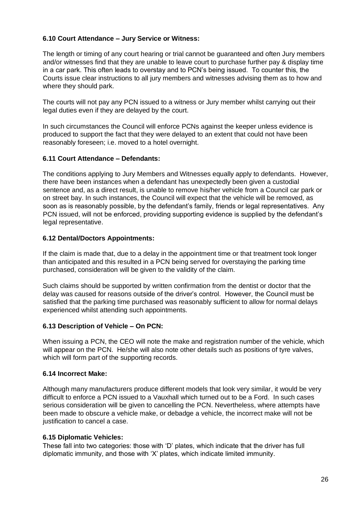## **6.10 Court Attendance – Jury Service or Witness:**

The length or timing of any court hearing or trial cannot be guaranteed and often Jury members and/or witnesses find that they are unable to leave court to purchase further pay & display time in a car park. This often leads to overstay and to PCN's being issued. To counter this, the Courts issue clear instructions to all jury members and witnesses advising them as to how and where they should park.

The courts will not pay any PCN issued to a witness or Jury member whilst carrying out their legal duties even if they are delayed by the court.

In such circumstances the Council will enforce PCNs against the keeper unless evidence is produced to support the fact that they were delayed to an extent that could not have been reasonably foreseen; i.e. moved to a hotel overnight.

## **6.11 Court Attendance – Defendants:**

The conditions applying to Jury Members and Witnesses equally apply to defendants. However, there have been instances when a defendant has unexpectedly been given a custodial sentence and, as a direct result, is unable to remove his/her vehicle from a Council car park or on street bay. In such instances, the Council will expect that the vehicle will be removed, as soon as is reasonably possible, by the defendant's family, friends or legal representatives. Any PCN issued, will not be enforced, providing supporting evidence is supplied by the defendant's legal representative.

## **6.12 Dental/Doctors Appointments:**

If the claim is made that, due to a delay in the appointment time or that treatment took longer than anticipated and this resulted in a PCN being served for overstaying the parking time purchased, consideration will be given to the validity of the claim.

Such claims should be supported by written confirmation from the dentist or doctor that the delay was caused for reasons outside of the driver's control. However, the Council must be satisfied that the parking time purchased was reasonably sufficient to allow for normal delays experienced whilst attending such appointments.

#### **6.13 Description of Vehicle – On PCN:**

When issuing a PCN, the CEO will note the make and registration number of the vehicle, which will appear on the PCN. He/she will also note other details such as positions of tyre valves, which will form part of the supporting records.

#### **6.14 Incorrect Make:**

Although many manufacturers produce different models that look very similar, it would be very difficult to enforce a PCN issued to a Vauxhall which turned out to be a Ford. In such cases serious consideration will be given to cancelling the PCN. Nevertheless, where attempts have been made to obscure a vehicle make, or debadge a vehicle, the incorrect make will not be justification to cancel a case.

#### **6.15 Diplomatic Vehicles:**

These fall into two categories: those with 'D' plates, which indicate that the driver has full diplomatic immunity, and those with 'X' plates, which indicate limited immunity.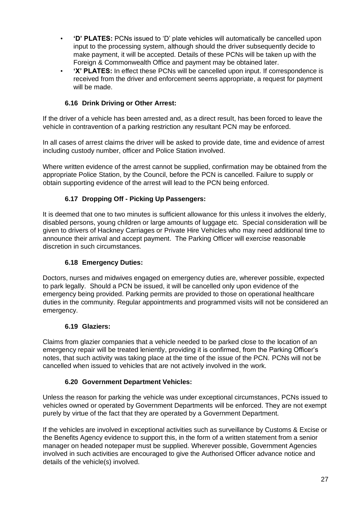- **'D' PLATES:** PCNs issued to 'D' plate vehicles will automatically be cancelled upon input to the processing system, although should the driver subsequently decide to make payment, it will be accepted. Details of these PCNs will be taken up with the Foreign & Commonwealth Office and payment may be obtained later.
- **'X' PLATES:** In effect these PCNs will be cancelled upon input. If correspondence is received from the driver and enforcement seems appropriate, a request for payment will be made.

## **6.16 Drink Driving or Other Arrest:**

If the driver of a vehicle has been arrested and, as a direct result, has been forced to leave the vehicle in contravention of a parking restriction any resultant PCN may be enforced.

In all cases of arrest claims the driver will be asked to provide date, time and evidence of arrest including custody number, officer and Police Station involved.

Where written evidence of the arrest cannot be supplied, confirmation may be obtained from the appropriate Police Station, by the Council, before the PCN is cancelled. Failure to supply or obtain supporting evidence of the arrest will lead to the PCN being enforced.

## **6.17 Dropping Off - Picking Up Passengers:**

It is deemed that one to two minutes is sufficient allowance for this unless it involves the elderly, disabled persons, young children or large amounts of luggage etc. Special consideration will be given to drivers of Hackney Carriages or Private Hire Vehicles who may need additional time to announce their arrival and accept payment. The Parking Officer will exercise reasonable discretion in such circumstances.

## **6.18 Emergency Duties:**

Doctors, nurses and midwives engaged on emergency duties are, wherever possible, expected to park legally. Should a PCN be issued, it will be cancelled only upon evidence of the emergency being provided. Parking permits are provided to those on operational healthcare duties in the community. Regular appointments and programmed visits will not be considered an emergency.

## **6.19 Glaziers:**

Claims from glazier companies that a vehicle needed to be parked close to the location of an emergency repair will be treated leniently, providing it is confirmed, from the Parking Officer's notes, that such activity was taking place at the time of the issue of the PCN. PCNs will not be cancelled when issued to vehicles that are not actively involved in the work.

## **6.20 Government Department Vehicles:**

Unless the reason for parking the vehicle was under exceptional circumstances, PCNs issued to vehicles owned or operated by Government Departments will be enforced. They are not exempt purely by virtue of the fact that they are operated by a Government Department.

If the vehicles are involved in exceptional activities such as surveillance by Customs & Excise or the Benefits Agency evidence to support this, in the form of a written statement from a senior manager on headed notepaper must be supplied. Wherever possible, Government Agencies involved in such activities are encouraged to give the Authorised Officer advance notice and details of the vehicle(s) involved.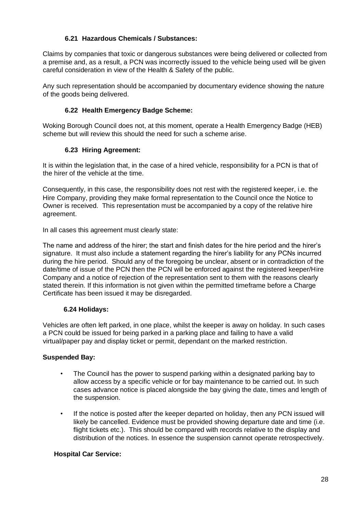## **6.21 Hazardous Chemicals / Substances:**

Claims by companies that toxic or dangerous substances were being delivered or collected from a premise and, as a result, a PCN was incorrectly issued to the vehicle being used will be given careful consideration in view of the Health & Safety of the public.

Any such representation should be accompanied by documentary evidence showing the nature of the goods being delivered.

## **6.22 Health Emergency Badge Scheme:**

Woking Borough Council does not, at this moment, operate a Health Emergency Badge (HEB) scheme but will review this should the need for such a scheme arise.

## **6.23 Hiring Agreement:**

It is within the legislation that, in the case of a hired vehicle, responsibility for a PCN is that of the hirer of the vehicle at the time.

Consequently, in this case, the responsibility does not rest with the registered keeper, i.e. the Hire Company, providing they make formal representation to the Council once the Notice to Owner is received. This representation must be accompanied by a copy of the relative hire agreement.

In all cases this agreement must clearly state:

The name and address of the hirer; the start and finish dates for the hire period and the hirer's signature. It must also include a statement regarding the hirer's liability for any PCNs incurred during the hire period. Should any of the foregoing be unclear, absent or in contradiction of the date/time of issue of the PCN then the PCN will be enforced against the registered keeper/Hire Company and a notice of rejection of the representation sent to them with the reasons clearly stated therein. If this information is not given within the permitted timeframe before a Charge Certificate has been issued it may be disregarded.

## **6.24 Holidays:**

Vehicles are often left parked, in one place, whilst the keeper is away on holiday. In such cases a PCN could be issued for being parked in a parking place and failing to have a valid virtual/paper pay and display ticket or permit, dependant on the marked restriction.

## **Suspended Bay:**

- The Council has the power to suspend parking within a designated parking bay to allow access by a specific vehicle or for bay maintenance to be carried out. In such cases advance notice is placed alongside the bay giving the date, times and length of the suspension.
- If the notice is posted after the keeper departed on holiday, then any PCN issued will likely be cancelled. Evidence must be provided showing departure date and time (i.e. flight tickets etc.). This should be compared with records relative to the display and distribution of the notices. In essence the suspension cannot operate retrospectively.

## **Hospital Car Service:**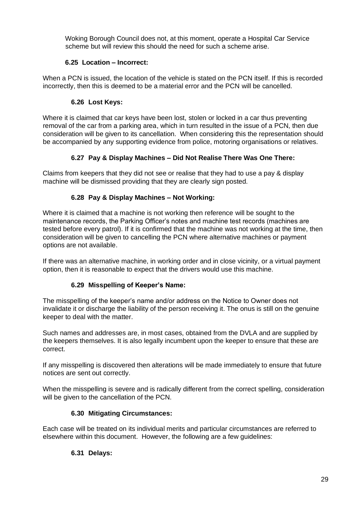Woking Borough Council does not, at this moment, operate a Hospital Car Service scheme but will review this should the need for such a scheme arise.

## **6.25 Location – Incorrect:**

When a PCN is issued, the location of the vehicle is stated on the PCN itself. If this is recorded incorrectly, then this is deemed to be a material error and the PCN will be cancelled.

## **6.26 Lost Keys:**

Where it is claimed that car keys have been lost, stolen or locked in a car thus preventing removal of the car from a parking area, which in turn resulted in the issue of a PCN, then due consideration will be given to its cancellation. When considering this the representation should be accompanied by any supporting evidence from police, motoring organisations or relatives.

## **6.27 Pay & Display Machines – Did Not Realise There Was One There:**

Claims from keepers that they did not see or realise that they had to use a pay & display machine will be dismissed providing that they are clearly sign posted.

## **6.28 Pay & Display Machines – Not Working:**

Where it is claimed that a machine is not working then reference will be sought to the maintenance records, the Parking Officer's notes and machine test records (machines are tested before every patrol). If it is confirmed that the machine was not working at the time, then consideration will be given to cancelling the PCN where alternative machines or payment options are not available.

If there was an alternative machine, in working order and in close vicinity, or a virtual payment option, then it is reasonable to expect that the drivers would use this machine.

## **6.29 Misspelling of Keeper's Name:**

The misspelling of the keeper's name and/or address on the Notice to Owner does not invalidate it or discharge the liability of the person receiving it. The onus is still on the genuine keeper to deal with the matter.

Such names and addresses are, in most cases, obtained from the DVLA and are supplied by the keepers themselves. It is also legally incumbent upon the keeper to ensure that these are correct.

If any misspelling is discovered then alterations will be made immediately to ensure that future notices are sent out correctly.

When the misspelling is severe and is radically different from the correct spelling, consideration will be given to the cancellation of the PCN.

## **6.30 Mitigating Circumstances:**

Each case will be treated on its individual merits and particular circumstances are referred to elsewhere within this document. However, the following are a few guidelines:

## **6.31 Delays:**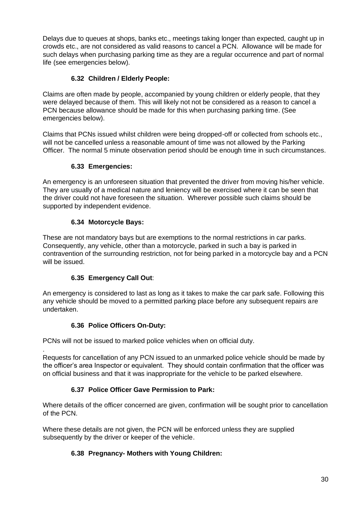Delays due to queues at shops, banks etc., meetings taking longer than expected, caught up in crowds etc., are not considered as valid reasons to cancel a PCN. Allowance will be made for such delays when purchasing parking time as they are a regular occurrence and part of normal life (see emergencies below).

## **6.32 Children / Elderly People:**

Claims are often made by people, accompanied by young children or elderly people, that they were delayed because of them. This will likely not not be considered as a reason to cancel a PCN because allowance should be made for this when purchasing parking time. (See emergencies below).

Claims that PCNs issued whilst children were being dropped-off or collected from schools etc., will not be cancelled unless a reasonable amount of time was not allowed by the Parking Officer. The normal 5 minute observation period should be enough time in such circumstances.

## **6.33 Emergencies:**

An emergency is an unforeseen situation that prevented the driver from moving his/her vehicle. They are usually of a medical nature and leniency will be exercised where it can be seen that the driver could not have foreseen the situation. Wherever possible such claims should be supported by independent evidence.

## **6.34 Motorcycle Bays:**

These are not mandatory bays but are exemptions to the normal restrictions in car parks. Consequently, any vehicle, other than a motorcycle, parked in such a bay is parked in contravention of the surrounding restriction, not for being parked in a motorcycle bay and a PCN will be issued.

## **6.35 Emergency Call Out**:

An emergency is considered to last as long as it takes to make the car park safe. Following this any vehicle should be moved to a permitted parking place before any subsequent repairs are undertaken.

## **6.36 Police Officers On-Duty:**

PCNs will not be issued to marked police vehicles when on official duty.

. Requests for cancellation of any PCN issued to an unmarked police vehicle should be made by the officer's area Inspector or equivalent. They should contain confirmation that the officer was on official business and that it was inappropriate for the vehicle to be parked elsewhere.

## **6.37 Police Officer Gave Permission to Park:**

Where details of the officer concerned are given, confirmation will be sought prior to cancellation of the PCN.

Where these details are not given, the PCN will be enforced unless they are supplied subsequently by the driver or keeper of the vehicle.

## **6.38 Pregnancy- Mothers with Young Children:**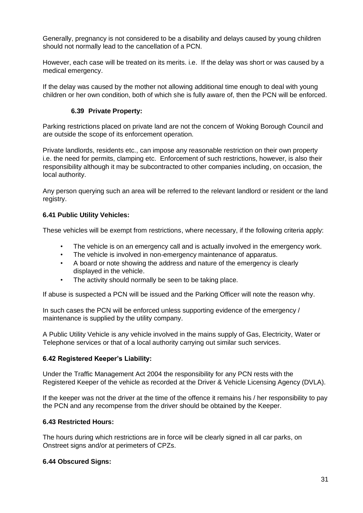Generally, pregnancy is not considered to be a disability and delays caused by young children should not normally lead to the cancellation of a PCN.

However, each case will be treated on its merits. i.e. If the delay was short or was caused by a medical emergency.

If the delay was caused by the mother not allowing additional time enough to deal with young children or her own condition, both of which she is fully aware of, then the PCN will be enforced.

## **6.39 Private Property:**

Parking restrictions placed on private land are not the concern of Woking Borough Council and are outside the scope of its enforcement operation.

Private landlords, residents etc., can impose any reasonable restriction on their own property i.e. the need for permits, clamping etc. Enforcement of such restrictions, however, is also their responsibility although it may be subcontracted to other companies including, on occasion, the local authority.

Any person querying such an area will be referred to the relevant landlord or resident or the land registry.

## **6.41 Public Utility Vehicles:**

These vehicles will be exempt from restrictions, where necessary, if the following criteria apply:

- The vehicle is on an emergency call and is actually involved in the emergency work.
- The vehicle is involved in non-emergency maintenance of apparatus.
- A board or note showing the address and nature of the emergency is clearly displayed in the vehicle.
- The activity should normally be seen to be taking place.

If abuse is suspected a PCN will be issued and the Parking Officer will note the reason why.

In such cases the PCN will be enforced unless supporting evidence of the emergency / maintenance is supplied by the utility company.

A Public Utility Vehicle is any vehicle involved in the mains supply of Gas, Electricity, Water or Telephone services or that of a local authority carrying out similar such services.

#### **6.42 Registered Keeper's Liability:**

Under the Traffic Management Act 2004 the responsibility for any PCN rests with the Registered Keeper of the vehicle as recorded at the Driver & Vehicle Licensing Agency (DVLA).

If the keeper was not the driver at the time of the offence it remains his / her responsibility to pay the PCN and any recompense from the driver should be obtained by the Keeper.

#### **6.43 Restricted Hours:**

The hours during which restrictions are in force will be clearly signed in all car parks, on Onstreet signs and/or at perimeters of CPZs.

#### **6.44 Obscured Signs:**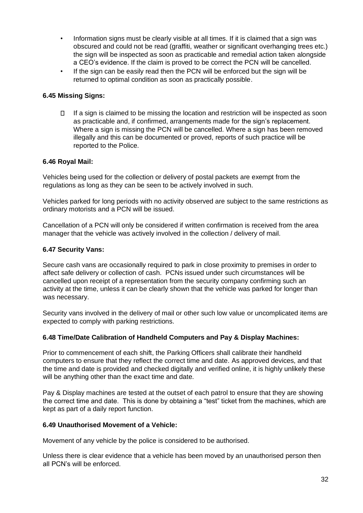- Information signs must be clearly visible at all times. If it is claimed that a sign was obscured and could not be read (graffiti, weather or significant overhanging trees etc.) the sign will be inspected as soon as practicable and remedial action taken alongside a CEO's evidence. If the claim is proved to be correct the PCN will be cancelled.
- If the sign can be easily read then the PCN will be enforced but the sign will be returned to optimal condition as soon as practically possible.

## **6.45 Missing Signs:**

 $\Box$ If a sign is claimed to be missing the location and restriction will be inspected as soon as practicable and, if confirmed, arrangements made for the sign's replacement. Where a sign is missing the PCN will be cancelled. Where a sign has been removed illegally and this can be documented or proved, reports of such practice will be reported to the Police.

#### **6.46 Royal Mail:**

Vehicles being used for the collection or delivery of postal packets are exempt from the regulations as long as they can be seen to be actively involved in such.

Vehicles parked for long periods with no activity observed are subject to the same restrictions as ordinary motorists and a PCN will be issued.

Cancellation of a PCN will only be considered if written confirmation is received from the area manager that the vehicle was actively involved in the collection / delivery of mail.

## **6.47 Security Vans:**

Secure cash vans are occasionally required to park in close proximity to premises in order to affect safe delivery or collection of cash. PCNs issued under such circumstances will be cancelled upon receipt of a representation from the security company confirming such an activity at the time, unless it can be clearly shown that the vehicle was parked for longer than was necessary.

Security vans involved in the delivery of mail or other such low value or uncomplicated items are expected to comply with parking restrictions.

#### **6.48 Time/Date Calibration of Handheld Computers and Pay & Display Machines:**

Prior to commencement of each shift, the Parking Officers shall calibrate their handheld computers to ensure that they reflect the correct time and date. As approved devices, and that the time and date is provided and checked digitally and verified online, it is highly unlikely these will be anything other than the exact time and date.

Pay & Display machines are tested at the outset of each patrol to ensure that they are showing the correct time and date. This is done by obtaining a "test" ticket from the machines, which are kept as part of a daily report function.

#### **6.49 Unauthorised Movement of a Vehicle:**

Movement of any vehicle by the police is considered to be authorised.

Unless there is clear evidence that a vehicle has been moved by an unauthorised person then all PCN's will be enforced.